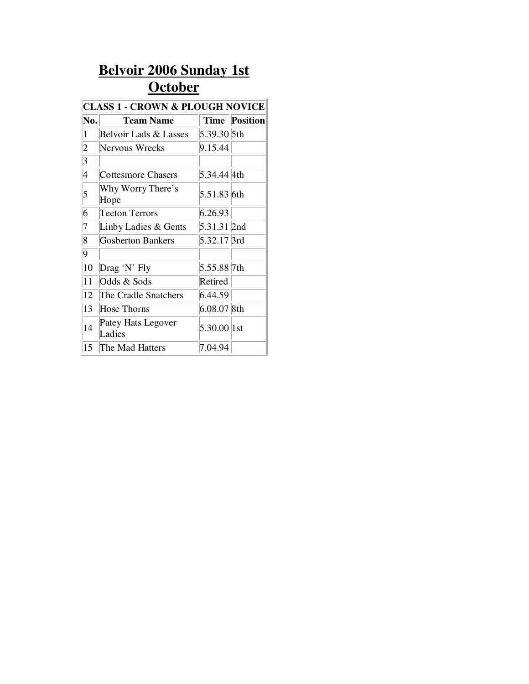## **Belvoir 2006 Sunday 1st October**

| <b>CLASS 1 - CROWN &amp; PLOUGH NOVICE</b> |                              |                        |                      |  |  |
|--------------------------------------------|------------------------------|------------------------|----------------------|--|--|
| $ {\bf N_0}. $                             | <b>Team Name</b>             |                        | <b>Time Position</b> |  |  |
| $\vert$ 1                                  | Belvoir Lads & Lasses        | 5.39.30 5th            |                      |  |  |
| $\overline{2}$                             | Nervous Wrecks               | 9.15.44                |                      |  |  |
| $\vert 3 \vert$                            |                              |                        |                      |  |  |
| 4                                          | Cottesmore Chasers           | 5.34.44 4th            |                      |  |  |
| 5                                          | Why Worry There's<br>Hope    | 5.51.83 6th            |                      |  |  |
| 6                                          | Teeton Terrors               | 6.26.93                |                      |  |  |
| 7                                          | Linby Ladies & Gents         | 5.31.31 2nd            |                      |  |  |
| 8                                          | <b>Gosberton Bankers</b>     | 5.32.17 <sup>3rd</sup> |                      |  |  |
| 9                                          |                              |                        |                      |  |  |
| 10                                         | Drag 'N' Fly                 | 5.55.88 7th            |                      |  |  |
| 11                                         | Odds & Sods                  | Retired                |                      |  |  |
| 12                                         | The Cradle Snatchers         | 6.44.59                |                      |  |  |
| 13                                         | <b>Hose Thorns</b>           | $6.08.07$ 8th          |                      |  |  |
| 14                                         | Patey Hats Legover<br>Ladies | 5.30.00 1st            |                      |  |  |
| 15                                         | The Mad Hatters              | 7.04.94                |                      |  |  |